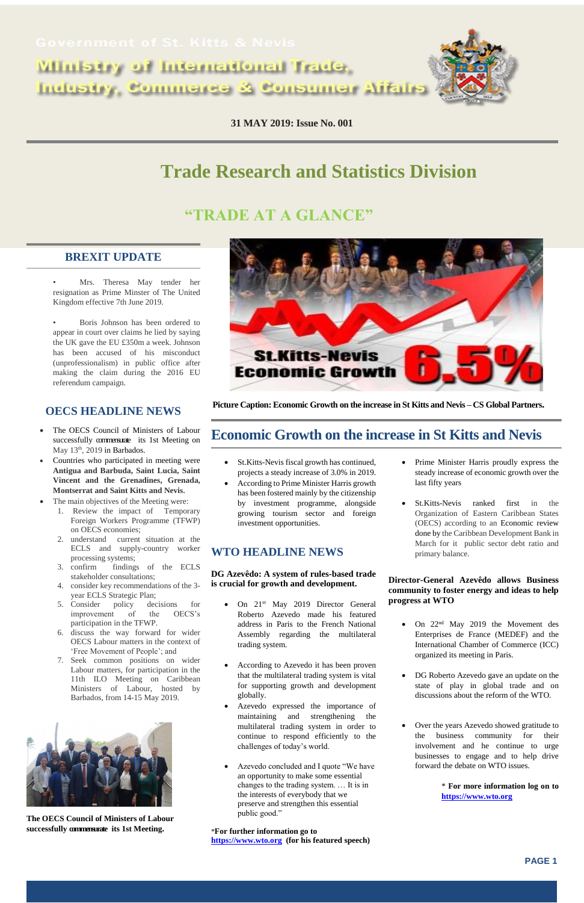Ministry of International Trade, **Industry, Commerce & Consumer Affairs** 

l,



**31 MAY 2019: Issue No. 001**

**PAGE 1**

# **Trade Research and Statistics Division**

# **"TRADE AT A GLANCE"**

# **BREXIT UPDATE**

- Mrs. Theresa May tender her resignation as Prime Minster of The United Kingdom effective 7th June 2019.
- Boris Johnson has been ordered to appear in court over claims he lied by saying the UK gave the EU £350m a week. Johnson has been accused of his misconduct (unprofessionalism) in public office after making the claim during the 2016 EU referendum campaign.

- The OECS Council of Ministers of Labour successfully commensurate its 1st Meeting on May 13<sup>th</sup>, 2019 in Barbados.
- Countries who participated in meeting were **Antigua and Barbuda, Saint Lucia, Saint Vincent and the Grenadines, Grenada, Montserrat and Saint Kitts and Nevis.**
- The main objectives of the Meeting were:
	- 1. Review the impact of Temporary Foreign Workers Programme (TFWP) on OECS economies;
	- 2. understand current situation at the ECLS and supply-country worker processing systems;
	- 3. confirm findings of the ECLS stakeholder consultations;
	- 4. consider key recommendations of the 3 year ECLS Strategic Plan;
	- 5. Consider policy decisions for improvement of the OECS's participation in the TFWP.
	- 6. discuss the way forward for wider OECS Labour matters in the context of 'Free Movement of People'; and
	- Seek common positions on wider



# **OECS HEADLINE NEWS**

- On 21<sup>st</sup> May 2019 Director General Roberto Azevedo made his featured address in Paris to the French National Assembly regarding the multilateral trading system.
- According to Azevedo it has been proven that the multilateral trading system is vital for supporting growth and development globally.

Labour matters, for participation in the 11th ILO Meeting on Caribbean Ministers of Labour, hosted by Barbados, from 14-15 May 2019.



**The OECS Council of Ministers of Labour successfully commensurate its 1st Meeting.** 

**Picture Caption: Economic Growth on the increase in St Kitts and Nevis – CS Global Partners.**

# **Economic Growth on the increase in St Kitts and Nevis**

- St.Kitts-Nevis fiscal growth has continued, projects a steady increase of 3.0% in 2019.
- According to Prime Minister Harris growth has been fostered mainly by the citizenship by investment programme, alongside growing tourism sector and foreign investment opportunities.

## **WTO HEADLINE NEWS**

#### **DG Azevêdo: A system of rules-based trade is crucial for growth and development.**

- Azevedo expressed the importance of maintaining and strengthening the multilateral trading system in order to continue to respond efficiently to the challenges of today's world.
- Azevedo concluded and I quote "We have an opportunity to make some essential changes to the trading system. … It is in the interests of everybody that we preserve and strengthen this essential public good."

\***For further information go to [https://www.wto.org](https://www.wto.org/) (for his featured speech)**

- Prime Minister Harris proudly express the steady increase of economic growth over the last fifty years
- St.Kitts-Nevis ranked first in the Organization of Eastern Caribbean States (OECS) according to an Economic review done by the Caribbean Development Bank in March for it public sector debt ratio and primary balance.

#### **Director-General Azevêdo allows Business community to foster energy and ideas to help progress at WTO**

 On 22nd May 2019 the Movement des Enterprises de France (MEDEF) and the International Chamber of Commerce (ICC) organized its meeting in Paris.

- DG Roberto Azevedo gave an update on the state of play in global trade and on discussions about the reform of the WTO.
- Over the years Azevedo showed gratitude to the business community for their involvement and he continue to urge businesses to engage and to help drive forward the debate on WTO issues.

\* **For more information log on to [https://www.wto.org](https://www.wto.org/)**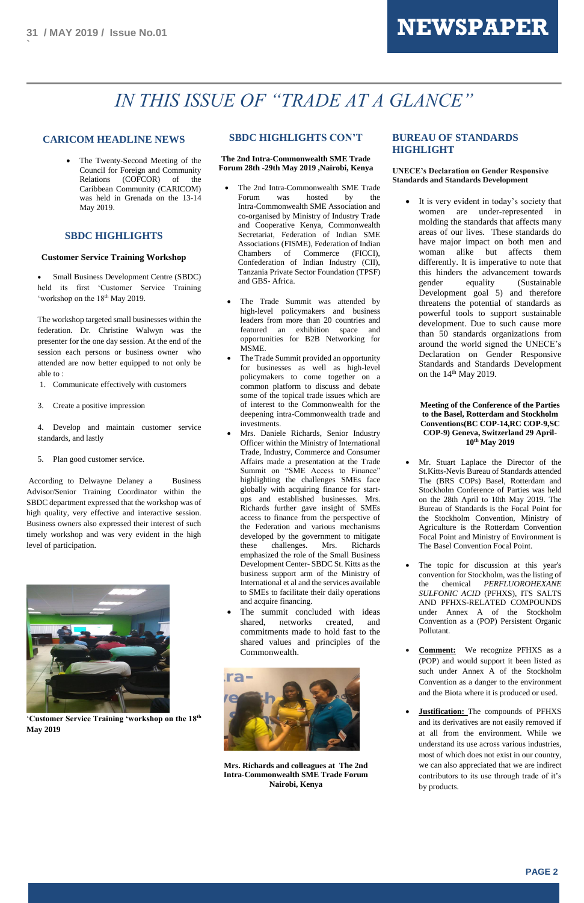

**`**

# *IN THIS ISSUE OF "TRADE AT A GLANCE"*

## **CARICOM HEADLINE NEWS**

• The Twenty-Second Meeting of the Council for Foreign and Community Relations (COFCOR) of the Caribbean Community (CARICOM) was held in Grenada on the 13-14 May 2019.

 Small Business Development Centre (SBDC) held its first 'Customer Service Training 'workshop on the 18<sup>th</sup> May 2019.

#### **SBDC HIGHLIGHTS**

#### **Customer Service Training Workshop**

The workshop targeted small businesses within the federation. Dr. Christine Walwyn was the presenter for the one day session. At the end of the session each persons or business owner who attended are now better equipped to not only be able to :

According to Delwayne Delaney a Business Advisor/Senior Training Coordinator within the SBDC department expressed that the workshop was of high quality, very effective and interactive session. Business owners also expressed their interest of such timely workshop and was very evident in the high level of participation.



- 1. Communicate effectively with customers
- 3. Create a positive impression

4. Develop and maintain customer service standards, and lastly

5. Plan good customer service.

'**Customer Service Training 'workshop on the 18th May 2019**



## **SBDC HIGHLIGHTS CON'T**

**The 2nd Intra-Commonwealth SME Trade Forum 28th -29th May 2019 ,Nairobi, Kenya**

> It is very evident in today's society that women are under-represented in molding the standards that affects many areas of our lives. These standards do have major impact on both men and woman alike but affects them differently. It is imperative to note that this hinders the advancement towards gender equality (Sustainable Development goal 5) and therefore threatens the potential of standards as powerful tools to support sustainable development. Due to such cause more than 50 standards organizations from around the world signed the UNECE's Declaration on Gender Responsive Standards and Standards Development on the  $14<sup>th</sup>$  May 2019.

- The 2nd Intra-Commonwealth SME Trade Forum was hosted by the Intra-Commonwealth SME Association and co-organised by Ministry of Industry Trade and Cooperative Kenya, Commonwealth Secretariat, Federation of Indian SME Associations (FISME), Federation of Indian Chambers of Commerce (FICCI), Confederation of Indian Industry (CII), Tanzania Private Sector Foundation (TPSF) and GBS- Africa.
- The Trade Summit was attended by high-level policymakers and business leaders from more than 20 countries and featured an exhibition space and opportunities for B2B Networking for MSME.
- The Trade Summit provided an opportunity for businesses as well as high-level policymakers to come together on a common platform to discuss and debate some of the topical trade issues which are of interest to the Commonwealth for the deepening intra-Commonwealth trade and investments.
- Mrs. Daniele Richards, Senior Industry Officer within the Ministry of International Trade, Industry, Commerce and Consumer Affairs made a presentation at the Trade Summit on "SME Access to Finance" highlighting the challenges SMEs face globally with acquiring finance for startups and established businesses. Mrs. Richards further gave insight of SMEs access to finance from the perspective of the Federation and various mechanisms developed by the government to mitigate these challenges. Mrs. Richards emphasized the role of the Small Business Development Center- SBDC St. Kitts as the business support arm of the Ministry of International et al and the services available to SMEs to facilitate their daily operations and acquire financing.
- The summit concluded with ideas shared, networks created, and commitments made to hold fast to the shared values and principles of the Commonwealth.

**Mrs. Richards and colleagues at The 2nd Intra-Commonwealth SME Trade Forum Nairobi, Kenya**

#### **BUREAU OF STANDARDS HIGHLIGHT**

#### **UNECE's Declaration on Gender Responsive Standards and Standards Development**

#### **Meeting of the Conference of the Parties to the Basel, Rotterdam and Stockholm Conventions(BC COP-14,RC COP-9,SC COP-9) Geneva, Switzerland 29 April-10th May 2019**

- Mr. Stuart Laplace the Director of the St.Kitts-Nevis Bureau of Standards attended The (BRS COPs) Basel, Rotterdam and Stockholm Conference of Parties was held on the 28th April to 10th May 2019. The Bureau of Standards is the Focal Point for the Stockholm Convention, Ministry of Agriculture is the Rotterdam Convention Focal Point and Ministry of Environment is The Basel Convention Focal Point.
- The topic for discussion at this year's convention for Stockholm, was the listing of the chemical *PERFLUOROHEXANE SULFONIC ACID* (PFHXS), ITS SALTS AND PFHXS-RELATED COMPOUNDS under Annex A of the Stockholm Convention as a (POP) Persistent Organic Pollutant.
- **Comment:** We recognize PFHXS as a (POP) and would support it been listed as

such under Annex A of the Stockholm Convention as a danger to the environment and the Biota where it is produced or used.

 **Justification:** The compounds of PFHXS and its derivatives are not easily removed if at all from the environment. While we understand its use across various industries, most of which does not exist in our country, we can also appreciated that we are indirect contributors to its use through trade of it's by products.